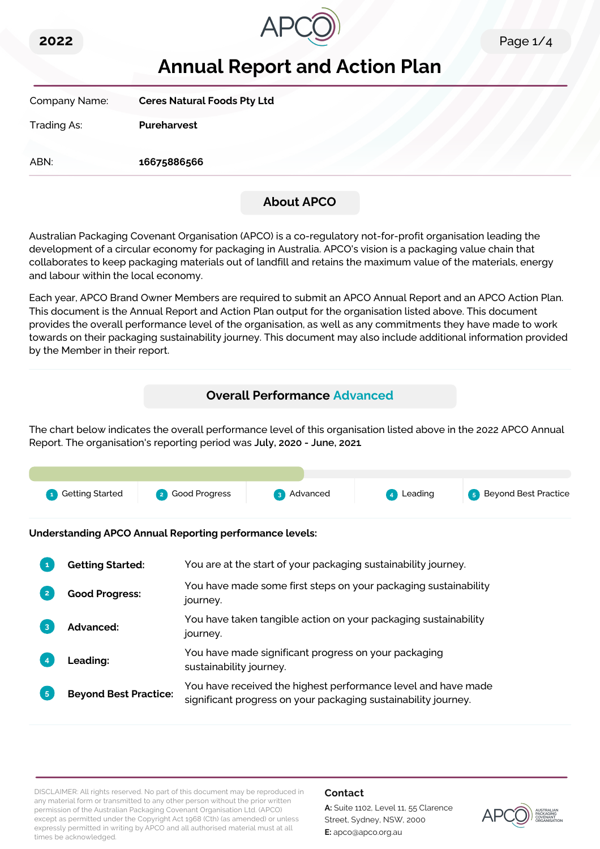



# **Annual Report and Action Plan**

Company Name: **Ceres Natural Foods Pty Ltd** Trading As: **Pureharvest** ABN: **16675886566**

# **About APCO**

Australian Packaging Covenant Organisation (APCO) is a co-regulatory not-for-profit organisation leading the development of a circular economy for packaging in Australia. APCO's vision is a packaging value chain that collaborates to keep packaging materials out of landfill and retains the maximum value of the materials, energy and labour within the local economy.

Each year, APCO Brand Owner Members are required to submit an APCO Annual Report and an APCO Action Plan. This document is the Annual Report and Action Plan output for the organisation listed above. This document provides the overall performance level of the organisation, as well as any commitments they have made to work towards on their packaging sustainability journey. This document may also include additional information provided by the Member in their report.

# **Overall Performance Advanced**

The chart below indicates the overall performance level of this organisation listed above in the 2022 APCO Annual Report. The organisation's reporting period was **July, 2020 - June, 2021**.

| <b>1</b> Getting Started | 2 Good Progress | 3 Advanced | 4 Leading | <b>5</b> Beyond Best Practice |
|--------------------------|-----------------|------------|-----------|-------------------------------|

**Understanding APCO Annual Reporting performance levels:**

| 1              | <b>Getting Started:</b>      | You are at the start of your packaging sustainability journey.                                                                  |
|----------------|------------------------------|---------------------------------------------------------------------------------------------------------------------------------|
| $\mathbf{2}$   | <b>Good Progress:</b>        | You have made some first steps on your packaging sustainability<br>journey.                                                     |
| 3              | <b>Advanced:</b>             | You have taken tangible action on your packaging sustainability<br>journey.                                                     |
|                | Leading:                     | You have made significant progress on your packaging<br>sustainability journey.                                                 |
| 5 <sup>1</sup> | <b>Beyond Best Practice:</b> | You have received the highest performance level and have made<br>significant progress on your packaging sustainability journey. |

DISCLAIMER: All rights reserved. No part of this document may be reproduced in any material form or transmitted to any other person without the prior written permission of the Australian Packaging Covenant Organisation Ltd. (APCO) except as permitted under the Copyright Act 1968 (Cth) (as amended) or unless expressly permitted in writing by APCO and all authorised material must at all times be acknowledged.

## **Contact**

**A:** Suite 1102, Level 11, 55 Clarence Street, Sydney, NSW, 2000 **E:** apco@apco.org.au

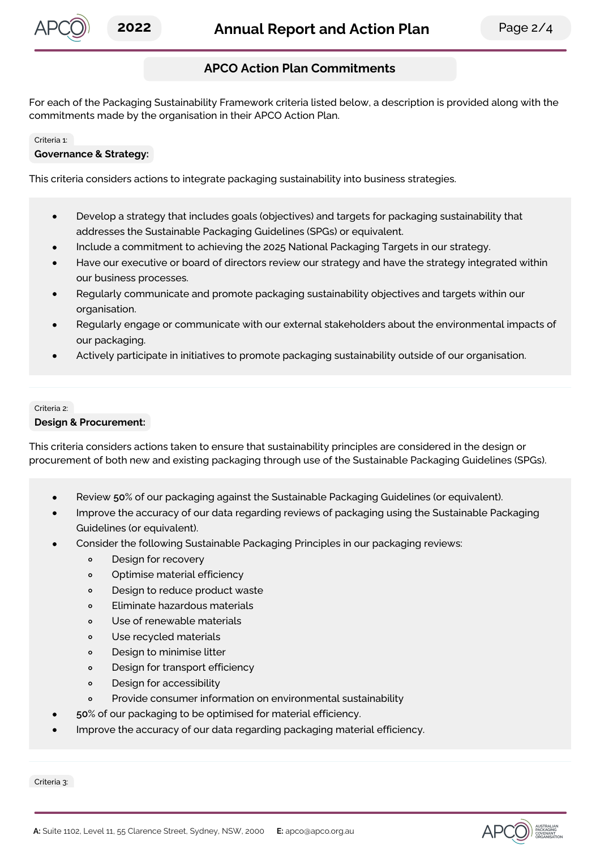

## **APCO Action Plan Commitments**

For each of the Packaging Sustainability Framework criteria listed below, a description is provided along with the commitments made by the organisation in their APCO Action Plan.

#### Criteria 1:

#### **Governance & Strategy:**

This criteria considers actions to integrate packaging sustainability into business strategies.

- Develop a strategy that includes goals (objectives) and targets for packaging sustainability that  $\bullet$ addresses the Sustainable Packaging Guidelines (SPGs) or equivalent.
- Include a commitment to achieving the 2025 National Packaging Targets in our strategy.
- Have our executive or board of directors review our strategy and have the strategy integrated within our business processes.
- Regularly communicate and promote packaging sustainability objectives and targets within our organisation.
- Regularly engage or communicate with our external stakeholders about the environmental impacts of our packaging.
- Actively participate in initiatives to promote packaging sustainability outside of our organisation.

# Criteria 2:

#### **Design & Procurement:**

This criteria considers actions taken to ensure that sustainability principles are considered in the design or procurement of both new and existing packaging through use of the Sustainable Packaging Guidelines (SPGs).

- Review **50**% of our packaging against the Sustainable Packaging Guidelines (or equivalent).
- Improve the accuracy of our data regarding reviews of packaging using the Sustainable Packaging Guidelines (or equivalent).
- Consider the following Sustainable Packaging Principles in our packaging reviews:
	- Design for recovery  $\circ$
	- $\circ$ Optimise material efficiency
	- Design to reduce product waste  $\circ$
	- Eliminate hazardous materials  $\circ$
	- Use of renewable materials  $\Omega$
	- $\circ$ Use recycled materials
	- Design to minimise litter  $\circ$
	- Design for transport efficiency  $\circ$
	- Design for accessibility  $\circ$
	- Provide consumer information on environmental sustainability  $\circ$
- **50**% of our packaging to be optimised for material efficiency.
- Improve the accuracy of our data regarding packaging material efficiency.

Criteria 3:

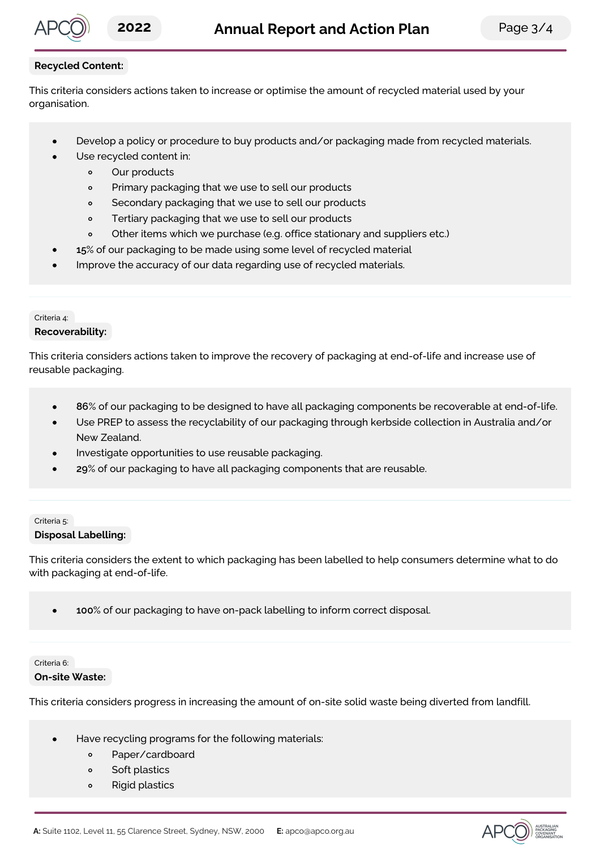

## **Recycled Content:**

This criteria considers actions taken to increase or optimise the amount of recycled material used by your organisation.

- Develop a policy or procedure to buy products and/or packaging made from recycled materials.
	- Use recycled content in:
		- Our products  $\bullet$
		- $\circ$ Primary packaging that we use to sell our products
		- $\circ$ Secondary packaging that we use to sell our products
		- $\circ$ Tertiary packaging that we use to sell our products
		- Other items which we purchase (e.g. office stationary and suppliers etc.)  $\circ$
- **15**% of our packaging to be made using some level of recycled material
- Improve the accuracy of our data regarding use of recycled materials.

# Criteria 4:

## **Recoverability:**

This criteria considers actions taken to improve the recovery of packaging at end-of-life and increase use of reusable packaging.

- **86**% of our packaging to be designed to have all packaging components be recoverable at end-of-life.
- Use PREP to assess the recyclability of our packaging through kerbside collection in Australia and/or New Zealand.
- Investigate opportunities to use reusable packaging.
- **29**% of our packaging to have all packaging components that are reusable.

### Criteria 5: **Disposal Labelling:**

This criteria considers the extent to which packaging has been labelled to help consumers determine what to do with packaging at end-of-life.

**100**% of our packaging to have on-pack labelling to inform correct disposal.

## Criteria 6:

#### **On-site Waste:**

This criteria considers progress in increasing the amount of on-site solid waste being diverted from landfill.

- Have recycling programs for the following materials:
	- $\circ$ Paper/cardboard
	- Soft plastics  $\circ$
	- $\circ$ Rigid plastics